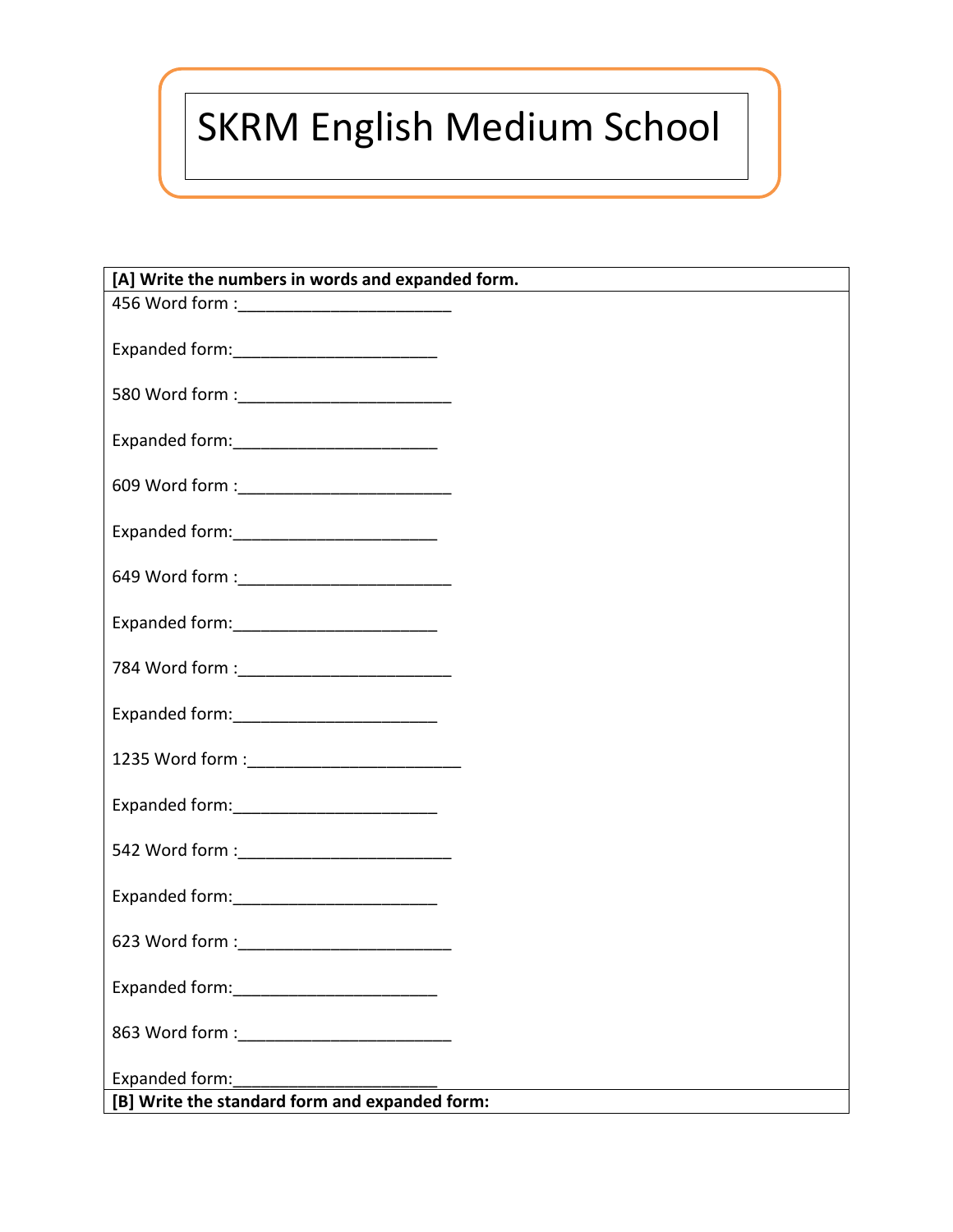## SKRM English Medium School

| [A] Write the numbers in words and expanded form.                |
|------------------------------------------------------------------|
| 456 Word form : _____________________________                    |
|                                                                  |
|                                                                  |
|                                                                  |
| 609 Word form : ____________________________                     |
| Expanded form: _____________________________                     |
|                                                                  |
|                                                                  |
|                                                                  |
| 784 Word form : ____________________________                     |
|                                                                  |
| 1235 Word form : ____________________________                    |
|                                                                  |
| 542 Word form : _____________________________                    |
| Expanded form: ____________________________                      |
|                                                                  |
|                                                                  |
|                                                                  |
| Expanded form:<br>[B] Write the standard form and expanded form: |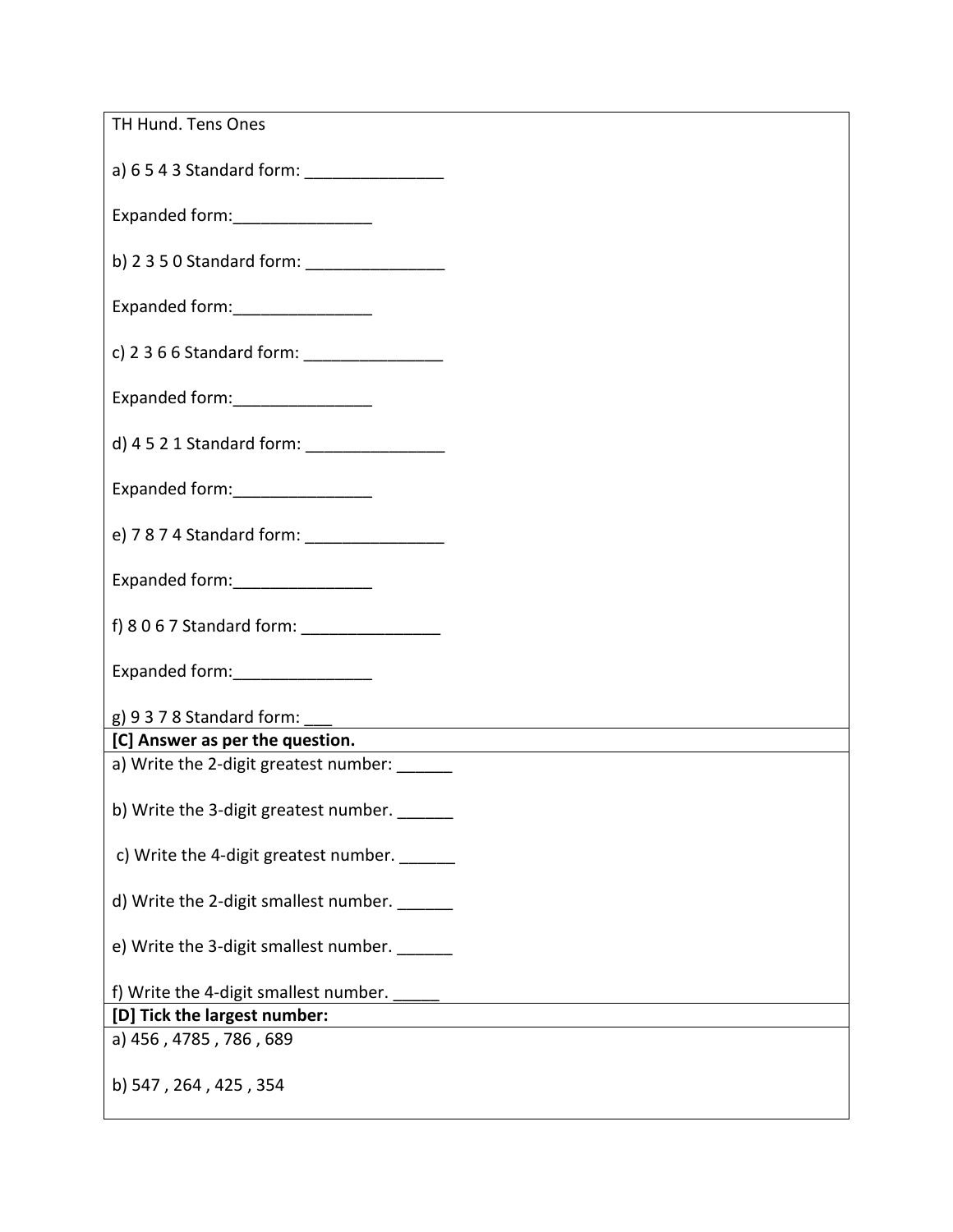| TH Hund. Tens Ones                            |
|-----------------------------------------------|
| a) 6 5 4 3 Standard form: ___________________ |
| Expanded form: _________________              |
| b) 2 3 5 0 Standard form: __________________  |
| Expanded form: _________________              |
| c) 2 3 6 6 Standard form: ___________________ |
| Expanded form: ________________               |
| d) 4 5 2 1 Standard form: __________________  |
| Expanded form: __________________             |
|                                               |
| Expanded form: __________________             |
|                                               |
| Expanded form: ________________               |
|                                               |
| [C] Answer as per the question.               |
| a) Write the 2-digit greatest number:         |
| b) Write the 3-digit greatest number. ______  |
| c) Write the 4-digit greatest number.         |
| d) Write the 2-digit smallest number. ______  |
| e) Write the 3-digit smallest number.         |
| f) Write the 4-digit smallest number.         |
| [D] Tick the largest number:                  |
| a) 456, 4785, 786, 689                        |
| b) 547, 264, 425, 354                         |